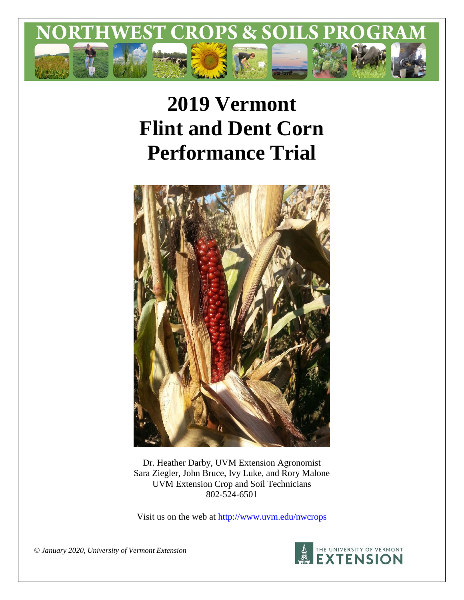

# **2019 Vermont Flint and Dent Corn Performance Trial**



Dr. Heather Darby, UVM Extension Agronomist Sara Ziegler, John Bruce, Ivy Luke, and Rory Malone UVM Extension Crop and Soil Technicians 802-524-6501

Visit us on the web at<http://www.uvm.edu/nwcrops>



*© January 2020, University of Vermont Extension*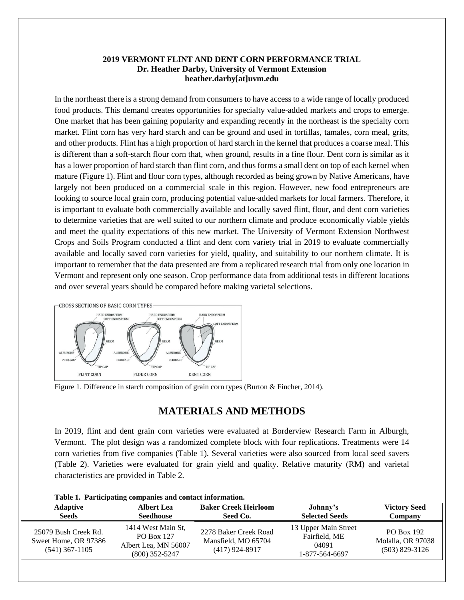### **2019 VERMONT FLINT AND DENT CORN PERFORMANCE TRIAL Dr. Heather Darby, University of Vermont Extension heather.darby[at]uvm.edu**

In the northeast there is a strong demand from consumers to have access to a wide range of locally produced food products. This demand creates opportunities for specialty value-added markets and crops to emerge. One market that has been gaining popularity and expanding recently in the northeast is the specialty corn market. Flint corn has very hard starch and can be ground and used in tortillas, tamales, corn meal, grits, and other products. Flint has a high proportion of hard starch in the kernel that produces a coarse meal. This is different than a soft-starch flour corn that, when ground, results in a fine flour. Dent corn is similar as it has a lower proportion of hard starch than flint corn, and thus forms a small dent on top of each kernel when mature (Figure 1). Flint and flour corn types, although recorded as being grown by Native Americans, have largely not been produced on a commercial scale in this region. However, new food entrepreneurs are looking to source local grain corn, producing potential value-added markets for local farmers. Therefore, it is important to evaluate both commercially available and locally saved flint, flour, and dent corn varieties to determine varieties that are well suited to our northern climate and produce economically viable yields and meet the quality expectations of this new market. The University of Vermont Extension Northwest Crops and Soils Program conducted a flint and dent corn variety trial in 2019 to evaluate commercially available and locally saved corn varieties for yield, quality, and suitability to our northern climate. It is important to remember that the data presented are from a replicated research trial from only one location in Vermont and represent only one season. Crop performance data from additional tests in different locations and over several years should be compared before making varietal selections.



Figure 1. Difference in starch composition of grain corn types (Burton & Fincher, 2014).

# **MATERIALS AND METHODS**

In 2019, flint and dent grain corn varieties were evaluated at Borderview Research Farm in Alburgh, Vermont. The plot design was a randomized complete block with four replications. Treatments were 14 corn varieties from five companies (Table 1). Several varieties were also sourced from local seed savers (Table 2). Varieties were evaluated for grain yield and quality. Relative maturity (RM) and varietal characteristics are provided in Table 2.

| <b>Adaptive</b>                                                  | <b>Albert Lea</b>                                                                   | <b>Baker Creek Heirloom</b>                                      | Johnny's                                                         | <b>Victory Seed</b>                                        |
|------------------------------------------------------------------|-------------------------------------------------------------------------------------|------------------------------------------------------------------|------------------------------------------------------------------|------------------------------------------------------------|
| <b>Seeds</b>                                                     | <b>Seedhouse</b>                                                                    | Seed Co.                                                         | <b>Selected Seeds</b>                                            | Company                                                    |
| 25079 Bush Creek Rd.<br>Sweet Home, OR 97386<br>$(541)$ 367-1105 | 1414 West Main St,<br><b>PO Box 127</b><br>Albert Lea, MN 56007<br>$(800)$ 352-5247 | 2278 Baker Creek Road<br>Mansfield, MO 65704<br>$(417)$ 924-8917 | 13 Upper Main Street<br>Fairfield, ME<br>04091<br>1-877-564-6697 | <b>PO Box 192</b><br>Molalla, OR 97038<br>$(503)$ 829-3126 |

#### **Table 1. Participating companies and contact information.**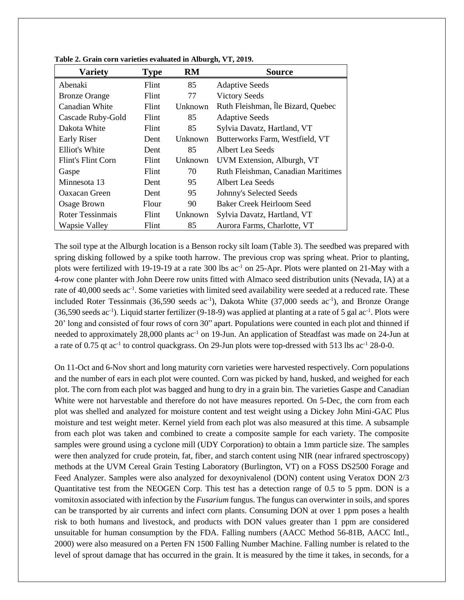| <b>Variety</b>          | <b>Type</b>  | <b>RM</b> | <b>Source</b>                      |
|-------------------------|--------------|-----------|------------------------------------|
| Abenaki                 | Flint        | 85        | <b>Adaptive Seeds</b>              |
| <b>Bronze Orange</b>    | Flint        | 77        | <b>Victory Seeds</b>               |
| Canadian White          | Flint        | Unknown   | Ruth Fleishman, Île Bizard, Quebec |
| Cascade Ruby-Gold       | Flint        | 85        | <b>Adaptive Seeds</b>              |
| Dakota White            | <b>Flint</b> | 85        | Sylvia Davatz, Hartland, VT        |
| Early Riser             | Dent         | Unknown   | Butterworks Farm, Westfield, VT    |
| Elliot's White          | Dent         | 85        | Albert Lea Seeds                   |
| Flint's Flint Corn      | Flint        | Unknown   | UVM Extension, Alburgh, VT         |
| Gaspe                   | <b>Flint</b> | 70        | Ruth Fleishman, Canadian Maritimes |
| Minnesota 13            | Dent         | 95        | Albert Lea Seeds                   |
| Oaxacan Green           | Dent         | 95        | Johnny's Selected Seeds            |
| Osage Brown             | Flour        | 90        | <b>Baker Creek Heirloom Seed</b>   |
| <b>Roter Tessinmais</b> | Flint        | Unknown   | Sylvia Davatz, Hartland, VT        |
| <b>Wapsie Valley</b>    | Flint        | 85        | Aurora Farms, Charlotte, VT        |

**Table 2. Grain corn varieties evaluated in Alburgh, VT, 2019.**

The soil type at the Alburgh location is a Benson rocky silt loam (Table 3). The seedbed was prepared with spring disking followed by a spike tooth harrow. The previous crop was spring wheat. Prior to planting, plots were fertilized with 19-19-19 at a rate 300 lbs ac<sup>-1</sup> on 25-Apr. Plots were planted on 21-May with a 4-row cone planter with John Deere row units fitted with Almaco seed distribution units (Nevada, IA) at a rate of 40,000 seeds ac<sup>-1</sup>. Some varieties with limited seed availability were seeded at a reduced rate. These included Roter Tessinmais (36,590 seeds ac<sup>-1</sup>), Dakota White (37,000 seeds ac<sup>-1</sup>), and Bronze Orange  $(36,590 \text{ seeds} \text{ ac}^{-1})$ . Liquid starter fertilizer  $(9-18-9)$  was applied at planting at a rate of 5 gal ac<sup>-1</sup>. Plots were 20' long and consisted of four rows of corn 30" apart. Populations were counted in each plot and thinned if needed to approximately 28,000 plants ac<sup>-1</sup> on 19-Jun. An application of Steadfast was made on 24-Jun at a rate of 0.75 qt ac<sup>-1</sup> to control quackgrass. On 29-Jun plots were top-dressed with 513 lbs ac<sup>-1</sup> 28-0-0.

On 11-Oct and 6-Nov short and long maturity corn varieties were harvested respectively. Corn populations and the number of ears in each plot were counted. Corn was picked by hand, husked, and weighed for each plot. The corn from each plot was bagged and hung to dry in a grain bin. The varieties Gaspe and Canadian White were not harvestable and therefore do not have measures reported. On 5-Dec, the corn from each plot was shelled and analyzed for moisture content and test weight using a Dickey John Mini-GAC Plus moisture and test weight meter. Kernel yield from each plot was also measured at this time. A subsample from each plot was taken and combined to create a composite sample for each variety. The composite samples were ground using a cyclone mill (UDY Corporation) to obtain a 1mm particle size. The samples were then analyzed for crude protein, fat, fiber, and starch content using NIR (near infrared spectroscopy) methods at the UVM Cereal Grain Testing Laboratory (Burlington, VT) on a FOSS DS2500 Forage and Feed Analyzer. Samples were also analyzed for dexoynivalenol (DON) content using Veratox DON 2/3 Quantitative test from the NEOGEN Corp. This test has a detection range of 0.5 to 5 ppm. DON is a vomitoxin associated with infection by the *Fusarium* fungus. The fungus can overwinter in soils, and spores can be transported by air currents and infect corn plants. Consuming DON at over 1 ppm poses a health risk to both humans and livestock, and products with DON values greater than 1 ppm are considered unsuitable for human consumption by the FDA. Falling numbers (AACC Method 56-81B, AACC Intl., 2000) were also measured on a Perten FN 1500 Falling Number Machine. Falling number is related to the level of sprout damage that has occurred in the grain. It is measured by the time it takes, in seconds, for a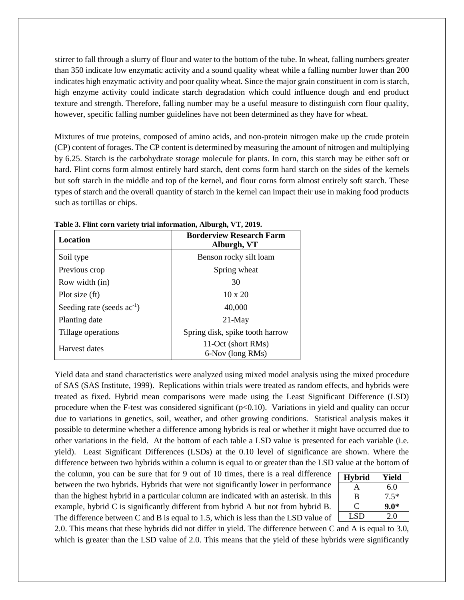stirrer to fall through a slurry of flour and water to the bottom of the tube. In wheat, falling numbers greater than 350 indicate low enzymatic activity and a sound quality wheat while a falling number lower than 200 indicates high enzymatic activity and poor quality wheat. Since the major grain constituent in corn is starch, high enzyme activity could indicate starch degradation which could influence dough and end product texture and strength. Therefore, falling number may be a useful measure to distinguish corn flour quality, however, specific falling number guidelines have not been determined as they have for wheat.

Mixtures of true proteins, composed of amino acids, and non-protein nitrogen make up the crude protein (CP) content of forages. The CP content is determined by measuring the amount of nitrogen and multiplying by 6.25. Starch is the carbohydrate storage molecule for plants. In corn, this starch may be either soft or hard. Flint corns form almost entirely hard starch, dent corns form hard starch on the sides of the kernels but soft starch in the middle and top of the kernel, and flour corns form almost entirely soft starch. These types of starch and the overall quantity of starch in the kernel can impact their use in making food products such as tortillas or chips.

| Location                               | <b>Borderview Research Farm</b><br>Alburgh, VT |  |  |  |
|----------------------------------------|------------------------------------------------|--|--|--|
| Soil type                              | Benson rocky silt loam                         |  |  |  |
| Previous crop                          | Spring wheat                                   |  |  |  |
| Row width (in)                         | 30                                             |  |  |  |
| Plot size (ft)                         | $10 \times 20$                                 |  |  |  |
| Seeding rate (seeds ac <sup>-1</sup> ) | 40,000                                         |  |  |  |
| Planting date                          | $21-May$                                       |  |  |  |
| Tillage operations                     | Spring disk, spike tooth harrow                |  |  |  |
| Harvest dates                          | 11-Oct (short RMs)<br>6-Nov (long RMs)         |  |  |  |

**Table 3. Flint corn variety trial information, Alburgh, VT, 2019.**

Yield data and stand characteristics were analyzed using mixed model analysis using the mixed procedure of SAS (SAS Institute, 1999). Replications within trials were treated as random effects, and hybrids were treated as fixed. Hybrid mean comparisons were made using the Least Significant Difference (LSD) procedure when the F-test was considered significant  $(p<0.10)$ . Variations in yield and quality can occur due to variations in genetics, soil, weather, and other growing conditions. Statistical analysis makes it possible to determine whether a difference among hybrids is real or whether it might have occurred due to other variations in the field. At the bottom of each table a LSD value is presented for each variable (i.e. yield). Least Significant Differences (LSDs) at the 0.10 level of significance are shown. Where the difference between two hybrids within a column is equal to or greater than the LSD value at the bottom of

the column, you can be sure that for 9 out of 10 times, there is a real difference between the two hybrids. Hybrids that were not significantly lower in performance than the highest hybrid in a particular column are indicated with an asterisk. In this example, hybrid C is significantly different from hybrid A but not from hybrid B. The difference between C and B is equal to 1.5, which is less than the LSD value of

| <b>Hybrid</b> | Yield  |
|---------------|--------|
| A             | 6.0    |
| B             | $7.5*$ |
| C             | $9.0*$ |
| LSD           | 2.0    |
|               |        |

2.0. This means that these hybrids did not differ in yield. The difference between C and A is equal to 3.0, which is greater than the LSD value of 2.0. This means that the yield of these hybrids were significantly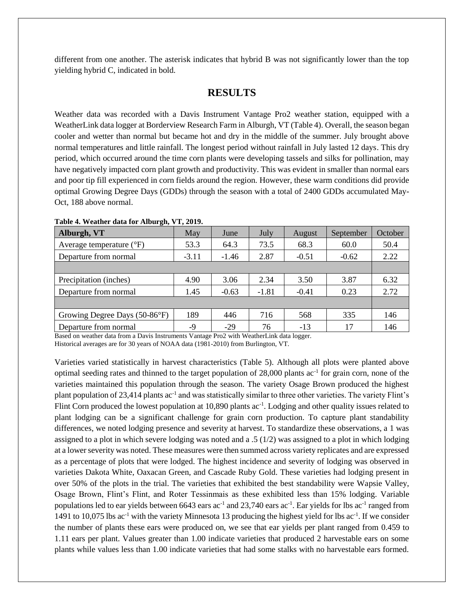different from one another. The asterisk indicates that hybrid B was not significantly lower than the top yielding hybrid C, indicated in bold.

# **RESULTS**

Weather data was recorded with a Davis Instrument Vantage Pro2 weather station, equipped with a WeatherLink data logger at Borderview Research Farm in Alburgh, VT (Table 4). Overall, the season began cooler and wetter than normal but became hot and dry in the middle of the summer. July brought above normal temperatures and little rainfall. The longest period without rainfall in July lasted 12 days. This dry period, which occurred around the time corn plants were developing tassels and silks for pollination, may have negatively impacted corn plant growth and productivity. This was evident in smaller than normal ears and poor tip fill experienced in corn fields around the region. However, these warm conditions did provide optimal Growing Degree Days (GDDs) through the season with a total of 2400 GDDs accumulated May-Oct, 188 above normal.

| Alburgh, VT                         | May     | June    | July    | August  | September | October |
|-------------------------------------|---------|---------|---------|---------|-----------|---------|
| Average temperature $({}^{\circ}F)$ | 53.3    | 64.3    | 73.5    | 68.3    | 60.0      | 50.4    |
| Departure from normal               | $-3.11$ | $-1.46$ | 2.87    | $-0.51$ | $-0.62$   | 2.22    |
|                                     |         |         |         |         |           |         |
| Precipitation (inches)              | 4.90    | 3.06    | 2.34    | 3.50    | 3.87      | 6.32    |
| Departure from normal               | 1.45    | $-0.63$ | $-1.81$ | $-0.41$ | 0.23      | 2.72    |
|                                     |         |         |         |         |           |         |
| Growing Degree Days (50-86°F)       | 189     | 446     | 716     | 568     | 335       | 146     |
| Departure from normal               | -9      | $-29$   | 76      | $-13$   | 17        | 146     |

#### **Table 4. Weather data for Alburgh, VT, 2019.**

Based on weather data from a Davis Instruments Vantage Pro2 with WeatherLink data logger.

Historical averages are for 30 years of NOAA data (1981-2010) from Burlington, VT.

Varieties varied statistically in harvest characteristics (Table 5). Although all plots were planted above optimal seeding rates and thinned to the target population of 28,000 plants ac<sup>-1</sup> for grain corn, none of the varieties maintained this population through the season. The variety Osage Brown produced the highest plant population of 23,414 plants ac<sup>-1</sup> and was statistically similar to three other varieties. The variety Flint's Flint Corn produced the lowest population at 10,890 plants ac<sup>-1</sup>. Lodging and other quality issues related to plant lodging can be a significant challenge for grain corn production. To capture plant standability differences, we noted lodging presence and severity at harvest. To standardize these observations, a 1 was assigned to a plot in which severe lodging was noted and a  $.5 \frac{1}{2}$  was assigned to a plot in which lodging at a lower severity was noted. These measures were then summed across variety replicates and are expressed as a percentage of plots that were lodged. The highest incidence and severity of lodging was observed in varieties Dakota White, Oaxacan Green, and Cascade Ruby Gold. These varieties had lodging present in over 50% of the plots in the trial. The varieties that exhibited the best standability were Wapsie Valley, Osage Brown, Flint's Flint, and Roter Tessinmais as these exhibited less than 15% lodging. Variable populations led to ear yields between 6643 ears  $ac^{-1}$  and 23,740 ears  $ac^{-1}$ . Ear yields for lbs  $ac^{-1}$  ranged from 1491 to 10,075 lbs ac<sup>-1</sup> with the variety Minnesota 13 producing the highest yield for lbs ac<sup>-1</sup>. If we consider the number of plants these ears were produced on, we see that ear yields per plant ranged from 0.459 to 1.11 ears per plant. Values greater than 1.00 indicate varieties that produced 2 harvestable ears on some plants while values less than 1.00 indicate varieties that had some stalks with no harvestable ears formed.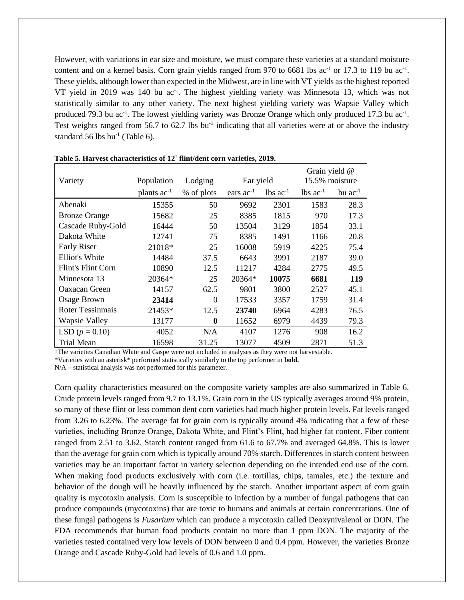However, with variations in ear size and moisture, we must compare these varieties at a standard moisture content and on a kernel basis. Corn grain yields ranged from 970 to 6681 lbs  $ac^{-1}$  or 17.3 to 119 bu  $ac^{-1}$ . These yields, although lower than expected in the Midwest, are in line with VT yields as the highest reported VT yield in 2019 was 140 bu ac<sup>-1</sup>. The highest yielding variety was Minnesota 13, which was not statistically similar to any other variety. The next highest yielding variety was Wapsie Valley which produced 79.3 bu ac<sup>-1</sup>. The lowest yielding variety was Bronze Orange which only produced 17.3 bu ac<sup>-1</sup>. Test weights ranged from 56.7 to 62.7 lbs bu<sup>-1</sup> indicating that all varieties were at or above the industry standard 56 lbs bu<sup>-1</sup> (Table 6).

| Variety                   | Population       | Lodging    | Ear yield      |                        | Grain yield @<br>15.5% moisture |                |
|---------------------------|------------------|------------|----------------|------------------------|---------------------------------|----------------|
|                           | plants $ac^{-1}$ | % of plots | ears $ac^{-1}$ | $lbs$ ac <sup>-1</sup> | $\text{lbs}$ ac <sup>-1</sup>   | $bu$ $ac^{-1}$ |
| Abenaki                   | 15355            | 50         | 9692           | 2301                   | 1583                            | 28.3           |
| <b>Bronze Orange</b>      | 15682            | 25         | 8385           | 1815                   | 970                             | 17.3           |
| Cascade Ruby-Gold         | 16444            | 50         | 13504          | 3129                   | 1854                            | 33.1           |
| Dakota White              | 12741            | 75         | 8385           | 1491                   | 1166                            | 20.8           |
| <b>Early Riser</b>        | 21018*           | 25         | 16008          | 5919                   | 4225                            | 75.4           |
| <b>Elliot's White</b>     | 14484            | 37.5       | 6643           | 3991                   | 2187                            | 39.0           |
| <b>Flint's Flint Corn</b> | 10890            | 12.5       | 11217          | 4284                   | 2775                            | 49.5           |
| Minnesota 13              | $20364*$         | 25         | $20364*$       | 10075                  | 6681                            | 119            |
| Oaxacan Green             | 14157            | 62.5       | 9801           | 3800                   | 2527                            | 45.1           |
| <b>Osage Brown</b>        | 23414            | $\theta$   | 17533          | 3357                   | 1759                            | 31.4           |
| <b>Roter Tessinmais</b>   | 21453*           | 12.5       | 23740          | 6964                   | 4283                            | 76.5           |
| Wapsie Valley             | 13177            | $\bf{0}$   | 11652          | 6979                   | 4439                            | 79.3           |
| LSD $(p = 0.10)$          | 4052             | N/A        | 4107           | 1276                   | 908                             | 16.2           |
| <b>Trial Mean</b>         | 16598            | 31.25      | 13077          | 4509                   | 2871                            | 51.3           |

**Table 5. Harvest characteristics of 12** † **flint/dent corn varieties, 2019.**

†The varieties Canadian White and Gaspe were not included in analyses as they were not harvestable.

\*Varieties with an asterisk\* performed statistically similarly to the top performer in **bold.**

N/A – statistical analysis was not performed for this parameter.

Corn quality characteristics measured on the composite variety samples are also summarized in Table 6. Crude protein levels ranged from 9.7 to 13.1%. Grain corn in the US typically averages around 9% protein, so many of these flint or less common dent corn varieties had much higher protein levels. Fat levels ranged from 3.26 to 6.23%. The average fat for grain corn is typically around 4% indicating that a few of these varieties, including Bronze Orange, Dakota White, and Flint's Flint, had higher fat content. Fiber content ranged from 2.51 to 3.62. Starch content ranged from 61.6 to 67.7% and averaged 64.8%. This is lower than the average for grain corn which is typically around 70% starch. Differences in starch content between varieties may be an important factor in variety selection depending on the intended end use of the corn. When making food products exclusively with corn *(i.e. tortillas, chips, tamales, etc.)* the texture and behavior of the dough will be heavily influenced by the starch. Another important aspect of corn grain quality is mycotoxin analysis. Corn is susceptible to infection by a number of fungal pathogens that can produce compounds (mycotoxins) that are toxic to humans and animals at certain concentrations. One of these fungal pathogens is *Fusarium* which can produce a mycotoxin called Deoxynivalenol or DON. The FDA recommends that human food products contain no more than 1 ppm DON. The majority of the varieties tested contained very low levels of DON between 0 and 0.4 ppm. However, the varieties Bronze Orange and Cascade Ruby-Gold had levels of 0.6 and 1.0 ppm.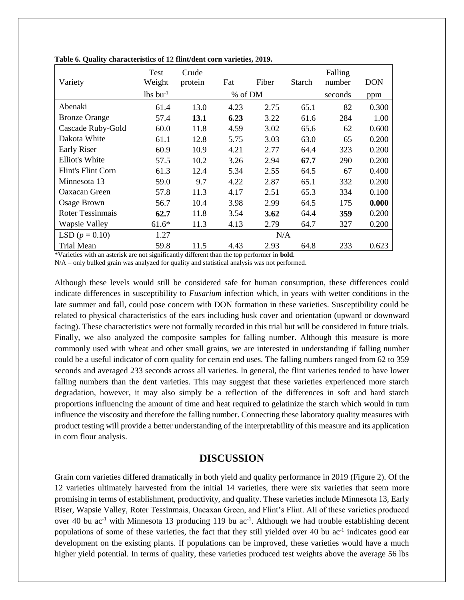| Variety                   | <b>Test</b><br>Weight  | Crude<br>protein | Fat     | Fiber | Starch | Falling<br>number | <b>DON</b> |
|---------------------------|------------------------|------------------|---------|-------|--------|-------------------|------------|
|                           | $lbs$ bu <sup>-1</sup> |                  | % of DM |       |        | seconds           | ppm        |
| Abenaki                   | 61.4                   | 13.0             | 4.23    | 2.75  | 65.1   | 82                | 0.300      |
| <b>Bronze Orange</b>      | 57.4                   | <b>13.1</b>      | 6.23    | 3.22  | 61.6   | 284               | 1.00       |
| Cascade Ruby-Gold         | 60.0                   | 11.8             | 4.59    | 3.02  | 65.6   | 62                | 0.600      |
| Dakota White              | 61.1                   | 12.8             | 5.75    | 3.03  | 63.0   | 65                | 0.200      |
| Early Riser               | 60.9                   | 10.9             | 4.21    | 2.77  | 64.4   | 323               | 0.200      |
| Elliot's White            | 57.5                   | 10.2             | 3.26    | 2.94  | 67.7   | 290               | 0.200      |
| <b>Flint's Flint Corn</b> | 61.3                   | 12.4             | 5.34    | 2.55  | 64.5   | 67                | 0.400      |
| Minnesota 13              | 59.0                   | 9.7              | 4.22    | 2.87  | 65.1   | 332               | 0.200      |
| Oaxacan Green             | 57.8                   | 11.3             | 4.17    | 2.51  | 65.3   | 334               | 0.100      |
| Osage Brown               | 56.7                   | 10.4             | 3.98    | 2.99  | 64.5   | 175               | 0.000      |
| Roter Tessinmais          | 62.7                   | 11.8             | 3.54    | 3.62  | 64.4   | 359               | 0.200      |
| <b>Wapsie Valley</b>      | $61.6*$                | 11.3             | 4.13    | 2.79  | 64.7   | 327               | 0.200      |
| LSD $(p = 0.10)$          | 1.27                   |                  |         | N/A   |        |                   |            |
| <b>Trial Mean</b>         | 59.8                   | 11.5             | 4.43    | 2.93  | 64.8   | 233               | 0.623      |

**Table 6. Quality characteristics of 12 flint/dent corn varieties, 2019.**

\*Varieties with an asterisk are not significantly different than the top performer in **bold**.

N/A – only bulked grain was analyzed for quality and statistical analysis was not performed.

Although these levels would still be considered safe for human consumption, these differences could indicate differences in susceptibility to *Fusarium* infection which, in years with wetter conditions in the late summer and fall, could pose concern with DON formation in these varieties. Susceptibility could be related to physical characteristics of the ears including husk cover and orientation (upward or downward facing). These characteristics were not formally recorded in this trial but will be considered in future trials. Finally, we also analyzed the composite samples for falling number. Although this measure is more commonly used with wheat and other small grains, we are interested in understanding if falling number could be a useful indicator of corn quality for certain end uses. The falling numbers ranged from 62 to 359 seconds and averaged 233 seconds across all varieties. In general, the flint varieties tended to have lower falling numbers than the dent varieties. This may suggest that these varieties experienced more starch degradation, however, it may also simply be a reflection of the differences in soft and hard starch proportions influencing the amount of time and heat required to gelatinize the starch which would in turn influence the viscosity and therefore the falling number. Connecting these laboratory quality measures with product testing will provide a better understanding of the interpretability of this measure and its application in corn flour analysis.

## **DISCUSSION**

Grain corn varieties differed dramatically in both yield and quality performance in 2019 (Figure 2). Of the 12 varieties ultimately harvested from the initial 14 varieties, there were six varieties that seem more promising in terms of establishment, productivity, and quality. These varieties include Minnesota 13, Early Riser, Wapsie Valley, Roter Tessinmais, Oacaxan Green, and Flint's Flint. All of these varieties produced over 40 bu ac<sup>-1</sup> with Minnesota 13 producing 119 bu ac<sup>-1</sup>. Although we had trouble establishing decent populations of some of these varieties, the fact that they still yielded over 40 bu ac<sup>-1</sup> indicates good ear development on the existing plants. If populations can be improved, these varieties would have a much higher yield potential. In terms of quality, these varieties produced test weights above the average 56 lbs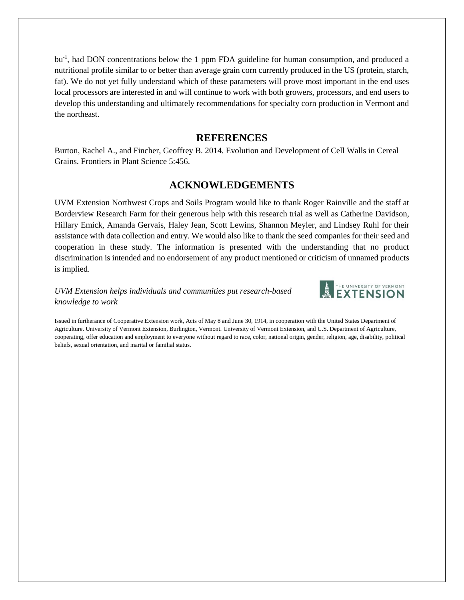bu<sup>-1</sup>, had DON concentrations below the 1 ppm FDA guideline for human consumption, and produced a nutritional profile similar to or better than average grain corn currently produced in the US (protein, starch, fat). We do not yet fully understand which of these parameters will prove most important in the end uses local processors are interested in and will continue to work with both growers, processors, and end users to develop this understanding and ultimately recommendations for specialty corn production in Vermont and the northeast.

## **REFERENCES**

Burton, Rachel A., and Fincher, Geoffrey B. 2014. Evolution and Development of Cell Walls in Cereal Grains. Frontiers in Plant Science 5:456.

# **ACKNOWLEDGEMENTS**

UVM Extension Northwest Crops and Soils Program would like to thank Roger Rainville and the staff at Borderview Research Farm for their generous help with this research trial as well as Catherine Davidson, Hillary Emick, Amanda Gervais, Haley Jean, Scott Lewins, Shannon Meyler, and Lindsey Ruhl for their assistance with data collection and entry. We would also like to thank the seed companies for their seed and cooperation in these study. The information is presented with the understanding that no product discrimination is intended and no endorsement of any product mentioned or criticism of unnamed products is implied.

## *UVM Extension helps individuals and communities put research-based knowledge to work*



Issued in furtherance of Cooperative Extension work, Acts of May 8 and June 30, 1914, in cooperation with the United States Department of Agriculture. University of Vermont Extension, Burlington, Vermont. University of Vermont Extension, and U.S. Department of Agriculture, cooperating, offer education and employment to everyone without regard to race, color, national origin, gender, religion, age, disability, political beliefs, sexual orientation, and marital or familial status.